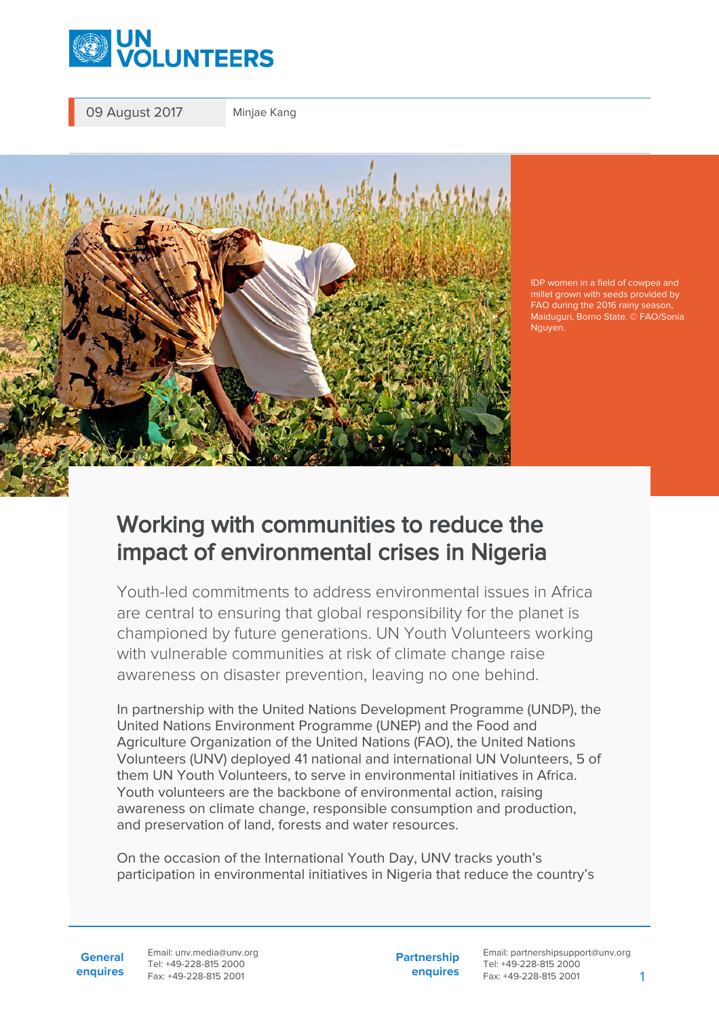

09 August 2017 Minjae Kang



IDP women in a field of cowpea and millet grown with seeds provided by FAO during the 2016 rainy season, Maiduguri, Borno State. © FAO/Sonia Nguyen.

## Working with communities to reduce the impact of environmental crises in Nigeria

Youth-led commitments to address environmental issues in Africa are central to ensuring that global responsibility for the planet is championed by future generations. UN Youth Volunteers working with vulnerable communities at risk of climate change raise awareness on disaster prevention, leaving no one behind.

In partnership with the United Nations Development Programme (UNDP), the United Nations Environment Programme (UNEP) and the Food and Agriculture Organization of the United Nations (FAO), the United Nations Volunteers (UNV) deployed 41 national and international UN Volunteers, 5 of them UN Youth Volunteers, to serve in environmental initiatives in Africa. Youth volunteers are the backbone of environmental action, raising awareness on climate change, responsible consumption and production, and preservation of land, forests and water resources.

On the occasion of the International Youth Day, UNV tracks youth's participation in environmental initiatives in Nigeria that reduce the country's

**General enquires** Email: unv.media@unv.org Tel: +49-228-815 2000 Fax: +49-228-815 2001

**Partnership enquires** Email: partnershipsupport@unv.org Tel: +49-228-815 2000 Fax: +49-228-815 2001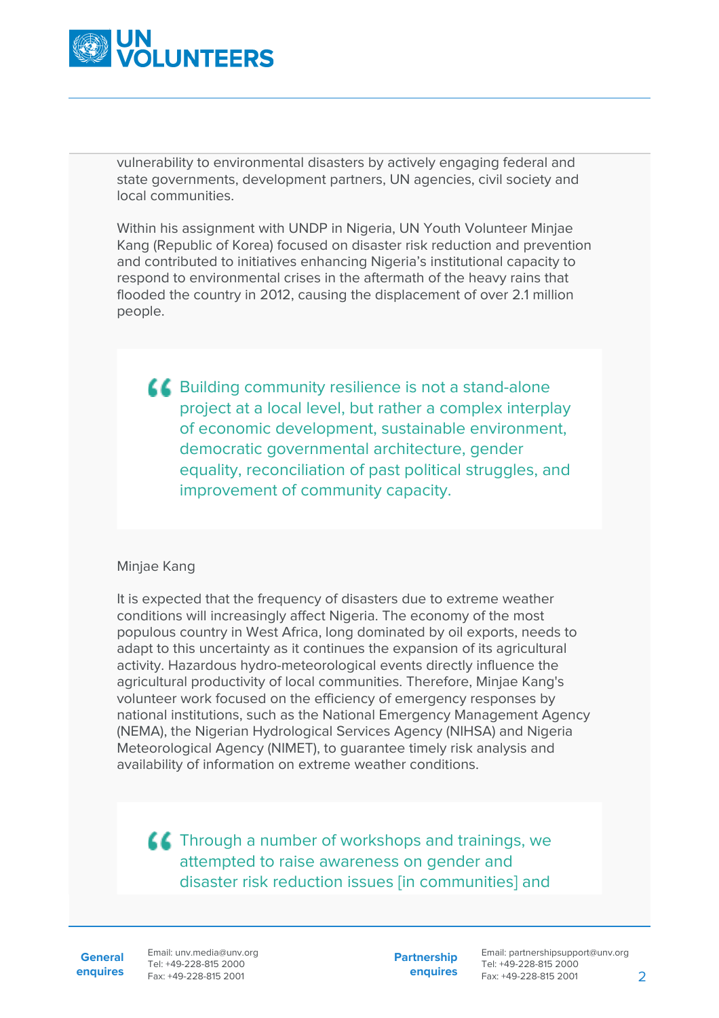

vulnerability to environmental disasters by actively engaging federal and state governments, development partners, UN agencies, civil society and local communities.

Within his assignment with UNDP in Nigeria, UN Youth Volunteer Minjae Kang (Republic of Korea) focused on disaster risk reduction and prevention and contributed to initiatives enhancing Nigeria's institutional capacity to respond to environmental crises in the aftermath of the heavy rains that flooded the country in 2012, causing the displacement of over 2.1 million people.

**A Building community resilience is not a stand-alone** project at a local level, but rather a complex interplay of economic development, sustainable environment, democratic governmental architecture, gender equality, reconciliation of past political struggles, and improvement of community capacity.

## Minjae Kang

It is expected that the frequency of disasters due to extreme weather conditions will increasingly affect Nigeria. The economy of the most populous country in West Africa, long dominated by oil exports, needs to adapt to this uncertainty as it continues the expansion of its agricultural activity. Hazardous hydro-meteorological events directly influence the agricultural productivity of local communities. Therefore, Minjae Kang's volunteer work focused on the efficiency of emergency responses by national institutions, such as the National Emergency Management Agency (NEMA), the Nigerian Hydrological Services Agency (NIHSA) and Nigeria Meteorological Agency (NIMET), to guarantee timely risk analysis and availability of information on extreme weather conditions.

**AC** Through a number of workshops and trainings, we attempted to raise awareness on gender and disaster risk reduction issues [in communities] and

**General**

**enquires** Fax: +49-228-815 2001 Email: unv.media@unv.org Tel: +49-228-815 2000

**Partnership enquires**

Email: partnershipsupport@unv.org Tel: +49-228-815 2000 Fax: +49-228-815 2001 2